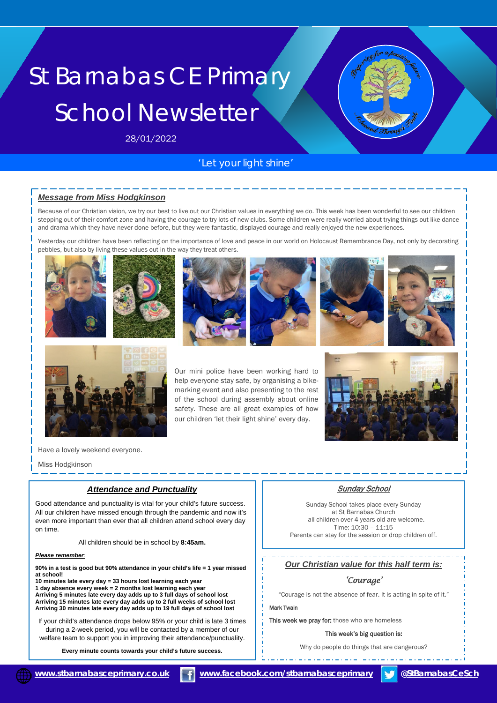# St Barnabas CE Primary School Newsletter

28/01/2022

# *'Let your light shine'*

# *Message from Miss Hodgkinson*

Because of our Christian vision, we try our best to live out our Christian values in everything we do. This week has been wonderful to see our children stepping out of their comfort zone and having the courage to try lots of new clubs. Some children were really worried about trying things out like dance and drama which they have never done before, but they were fantastic, displayed courage and really enjoyed the new experiences.

Yesterday our children have been reflecting on the importance of love and peace in our world on Holocaust Remembrance Day, not only by decorating pebbles, but also by living these values out in the way they treat others.















Our mini police have been working hard to help everyone stay safe, by organising a bikemarking event and also presenting to the rest of the school during assembly about online safety. These are all great examples of how our children 'let their light shine' every day.



Have a lovely weekend everyone.

Miss Hodgkinson

## *Attendance and Punctuality*

Good attendance and punctuality is vital for your child's future success. All our children have missed enough through the pandemic and now it's even more important than ever that all children attend school every day on time.

All children should be in school by **8:45am.**

#### *Please remember:*

**90% in a test is good but 90% attendance in your child's life = 1 year missed at school!** 

**10 minutes late every day = 33 hours lost learning each year 1 day absence every week = 2 months lost learning each year** 

**Arriving 5 minutes late every day adds up to 3 full days of school lost Arriving 15 minutes late every day adds up to 2 full weeks of school lost Arriving 30 minutes late every day adds up to 19 full days of school lost**

If your child's attendance drops below 95% or your child is late 3 times during a 2-week period, you will be contacted by a member of our welfare team to support you in improving their attendance/punctuality.

**Every minute counts towards your child's future success.**

# **Sunday School**

Sunday School takes place every Sunday at St Barnabas Church – all children over 4 years old are welcome. Time: 10:30 – 11:15 Parents can stay for the session or drop children off.

#### *Our Christian value for this half term is:*

# *'Courage'*

"Courage is not the absence of fear. It is acting in spite of it."

### Mark Twain

This week we pray for: those who are homeless

#### This week's big question is:

Why do people do things that are dangerous?

 **[www.stbarnabasceprimary.co.uk](http://www.stbarnabasceprimary.co.uk/) [www.facebook.com/stbarnabasceprimary](https://www.facebook.com/stbarnabasceprimary) @StBarnabasCeSch**